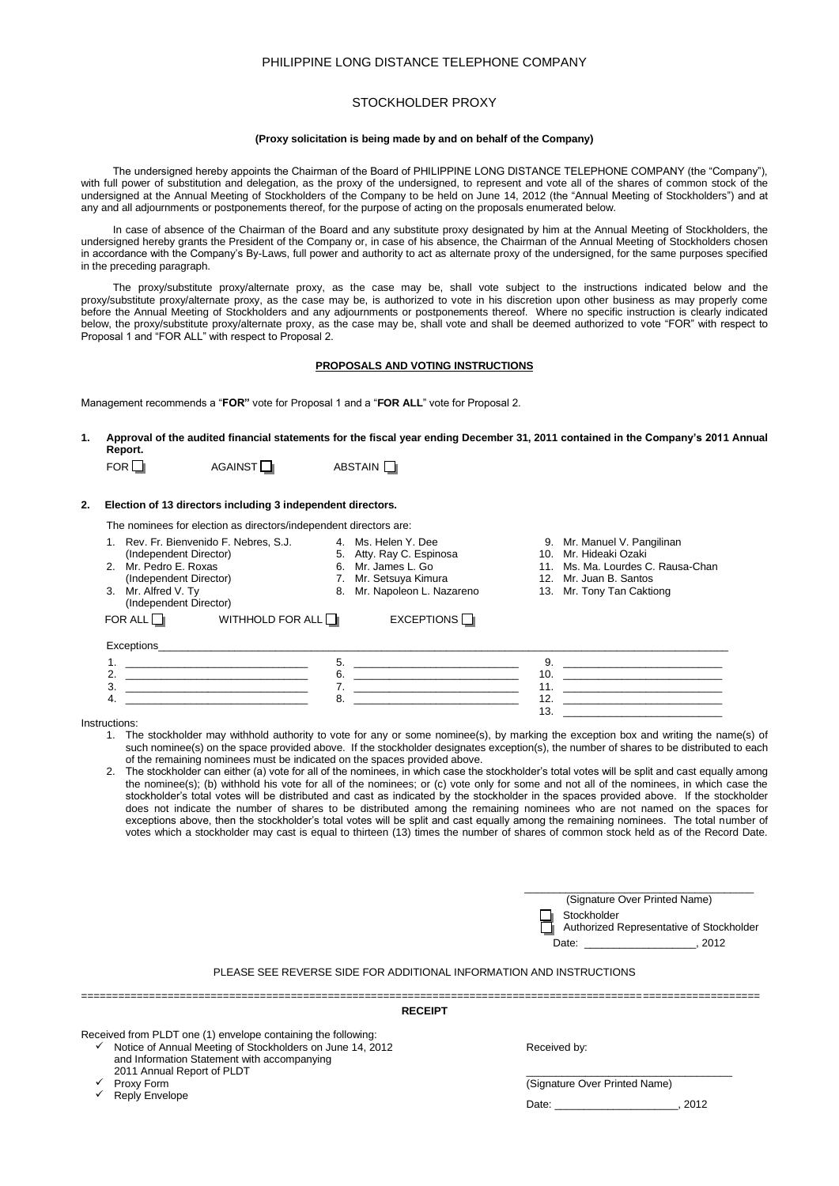# PHILIPPINE LONG DISTANCE TELEPHONE COMPANY

# STOCKHOLDER PROXY

## **(Proxy solicitation is being made by and on behalf of the Company)**

The undersigned hereby appoints the Chairman of the Board of PHILIPPINE LONG DISTANCE TELEPHONE COMPANY (the "Company"), with full power of substitution and delegation, as the proxy of the undersigned, to represent and vote all of the shares of common stock of the undersigned at the Annual Meeting of Stockholders of the Company to be held on June 14, 2012 (the "Annual Meeting of Stockholders") and at any and all adjournments or postponements thereof, for the purpose of acting on the proposals enumerated below.

In case of absence of the Chairman of the Board and any substitute proxy designated by him at the Annual Meeting of Stockholders, the undersigned hereby grants the President of the Company or, in case of his absence, the Chairman of the Annual Meeting of Stockholders chosen in accordance with the Company's By-Laws, full power and authority to act as alternate proxy of the undersigned, for the same purposes specified in the preceding paragraph.

The proxy/substitute proxy/alternate proxy, as the case may be, shall vote subject to the instructions indicated below and the proxy/substitute proxy/alternate proxy, as the case may be, is authorized to vote in his discretion upon other business as may properly come before the Annual Meeting of Stockholders and any adjournments or postponements thereof. Where no specific instruction is clearly indicated below, the proxy/substitute proxy/alternate proxy, as the case may be, shall vote and shall be deemed authorized to vote "FOR" with respect to Proposal 1 and "FOR ALL" with respect to Proposal 2.

## **PROPOSALS AND VOTING INSTRUCTIONS**

Management recommends a "**FOR"** vote for Proposal 1 and a "**FOR ALL**" vote for Proposal 2.

**1. Approval of the audited financial statements for the fiscal year ending December 31, 2011 contained in the Company's 2011 Annual Report.**  $FOR \Box$  AGAINST $\Box$  ABSTAIN  $\Box$ 

#### **2. Election of 13 directors including 3 independent directors.**

4. \_\_\_\_\_\_\_\_\_\_\_\_\_\_\_\_\_\_\_\_\_\_\_\_\_\_\_\_\_\_\_

The nominees for election as directors/independent directors are:

| 1. Rev. Fr. Bienvenido F. Nebres, S.J.<br>(Independent Director)<br>2. Mr. Pedro E. Roxas<br>(Independent Director)<br>3. Mr. Alfred V. Ty<br>(Independent Director) |                         | 4. Ms. Helen Y. Dee<br>5. Atty. Ray C. Espinosa<br>6. Mr. James L. Go<br>7. Mr. Setsuya Kimura<br>8. Mr. Napoleon L. Nazareno |     | 9. Mr. Manuel V. Pangilinan<br>10. Mr. Hideaki Ozaki<br>11. Ms. Ma. Lourdes C. Rausa-Chan<br>12. Mr. Juan B. Santos<br>13. Mr. Tony Tan Caktiong |
|----------------------------------------------------------------------------------------------------------------------------------------------------------------------|-------------------------|-------------------------------------------------------------------------------------------------------------------------------|-----|--------------------------------------------------------------------------------------------------------------------------------------------------|
| FOR ALL $\Box$                                                                                                                                                       | WITHHOLD FOR ALL $\Box$ | EXCEPTIONS                                                                                                                    |     |                                                                                                                                                  |
| Exceptions                                                                                                                                                           |                         |                                                                                                                               |     |                                                                                                                                                  |
|                                                                                                                                                                      | 5.                      |                                                                                                                               |     |                                                                                                                                                  |
| ົ                                                                                                                                                                    | 6.                      |                                                                                                                               | 10. |                                                                                                                                                  |
| 3.                                                                                                                                                                   |                         |                                                                                                                               | 11. |                                                                                                                                                  |

Instructions:

1. The stockholder may withhold authority to vote for any or some nominee(s), by marking the exception box and writing the name(s) of such nominee(s) on the space provided above. If the stockholder designates exception(s), the number of shares to be distributed to each of the remaining nominees must be indicated on the spaces provided above.

8. \_\_\_\_\_\_\_\_\_\_\_\_\_\_\_\_\_\_\_\_\_\_\_\_\_\_\_\_

2. The stockholder can either (a) vote for all of the nominees, in which case the stockholder's total votes will be split and cast equally among the nominee(s); (b) withhold his vote for all of the nominees; or (c) vote only for some and not all of the nominees, in which case the stockholder's total votes will be distributed and cast as indicated by the stockholder in the spaces provided above. If the stockholder does not indicate the number of shares to be distributed among the remaining nominees who are not named on the spaces for exceptions above, then the stockholder's total votes will be split and cast equally among the remaining nominees. The total number of votes which a stockholder may cast is equal to thirteen (13) times the number of shares of common stock held as of the Record Date.

| (Signature Over Printed Name)            |  |
|------------------------------------------|--|
| Stockholder                              |  |
| Authorized Representative of Stockholder |  |
| Date:<br>2012                            |  |
|                                          |  |

12. \_\_\_\_\_\_\_\_\_\_\_\_\_\_\_\_\_\_\_\_\_\_\_\_\_\_\_ 13. \_\_\_\_\_\_\_\_\_\_\_\_\_\_\_\_\_\_\_\_\_\_\_\_\_\_\_

# PLEASE SEE REVERSE SIDE FOR ADDITIONAL INFORMATION AND INSTRUCTIONS

============================================================================================================== **RECEIPT** Received from PLDT one (1) envelope containing the following:  $\checkmark$  $\checkmark$ ✓ Notice of Annual Meeting of Stockholders on June 14, 2012 and Information Statement with accompanying 2011 Annual Report of PLDT Proxy Form Reply Envelope Received by:  $\overline{\phantom{a}}$  ,  $\overline{\phantom{a}}$  ,  $\overline{\phantom{a}}$  ,  $\overline{\phantom{a}}$  ,  $\overline{\phantom{a}}$  ,  $\overline{\phantom{a}}$  ,  $\overline{\phantom{a}}$  ,  $\overline{\phantom{a}}$  ,  $\overline{\phantom{a}}$  ,  $\overline{\phantom{a}}$  ,  $\overline{\phantom{a}}$  ,  $\overline{\phantom{a}}$  ,  $\overline{\phantom{a}}$  ,  $\overline{\phantom{a}}$  ,  $\overline{\phantom{a}}$  ,  $\overline{\phantom{a}}$ (Signature Over Printed Name) Date: \_\_\_\_\_\_\_\_\_\_\_\_\_\_\_\_\_\_\_\_\_, 2012